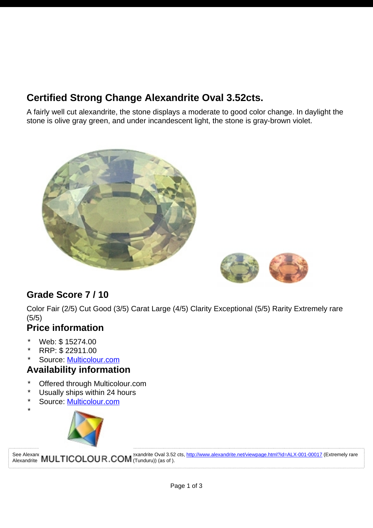# **Certified Strong Change Alexandrite Oval 3.52cts.**

A fairly well cut alexandrite, the stone displays a moderate to good color change. In daylight the stone is olive gray green, and under incandescent light, the stone is gray-brown violet.





## **Grade Score 7 / 10**

Color Fair (2/5) Cut Good (3/5) Carat Large (4/5) Clarity Exceptional (5/5) Rarity Extremely rare (5/5)

#### **Price information**

- Web: \$ 15274.00
- RRP: \$ 22911.00

\*

\* Source: [Multicolour.com](http://www.alexandrite.net/directory/gemstone-dealers/multicolour-gems-wdd-003-00001.html)

### **Availability information**

- Offered through Multicolour.com
- Usually ships within 24 hours
- Source: [Multicolour.com](http://www.alexandrite.net/directory/gemstone-dealers/multicolour-gems-wdd-003-00001.html)



See Alexandrite **MULTICOLOUR.COM** Tunduru)) (as of ).

See Alexandrite Transtone Collectors guide collectors guide and alexandrite Dval 3.52 cts, <http://www.alexandrite.net/viewpage.html?id=ALX-001-00017>(Extremely rare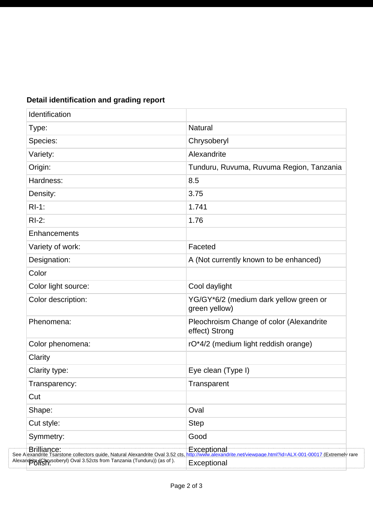| Identification                                                           |                                                            |
|--------------------------------------------------------------------------|------------------------------------------------------------|
| Type:                                                                    | <b>Natural</b>                                             |
| Species:                                                                 | Chrysoberyl                                                |
| Variety:                                                                 | Alexandrite                                                |
| Origin:                                                                  | Tunduru, Ruvuma, Ruvuma Region, Tanzania                   |
| Hardness:                                                                | 8.5                                                        |
| Density:                                                                 | 3.75                                                       |
| $RI-1$ :                                                                 | 1.741                                                      |
| $RI-2$ :                                                                 | 1.76                                                       |
| Enhancements                                                             |                                                            |
| Variety of work:                                                         | Faceted                                                    |
| Designation:                                                             | A (Not currently known to be enhanced)                     |
| Color                                                                    |                                                            |
| Color light source:                                                      | Cool daylight                                              |
| Color description:                                                       | YG/GY*6/2 (medium dark yellow green or<br>green yellow)    |
| Phenomena:                                                               | Pleochroism Change of color (Alexandrite<br>effect) Strong |
| Color phenomena:                                                         | rO*4/2 (medium light reddish orange)                       |
| Clarity                                                                  |                                                            |
| Clarity type:                                                            | Eye clean (Type I)                                         |
| Transparency:                                                            | Transparent                                                |
| Cut                                                                      |                                                            |
| Shape:                                                                   | Oval                                                       |
| Cut style:                                                               | <b>Step</b>                                                |
| Symmetry:                                                                | Good                                                       |
|                                                                          |                                                            |
| Alexandbig (Chrysoberyl) Oval 3.52cts from Tanzania (Tunduru)) (as of ). | Exceptional                                                |

#### **Detail identification and grading report**

. . . . . . . . . . .